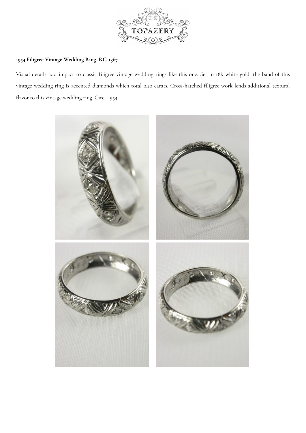

## **1954 Filigree Vintage Wedding Ring, RG-136[7](https://www.topazery.com)**

Visual details add impact to classic filigree vintage wedding rings like this one. Set in 18k white gold, the band of this vintage wedding ring is accented diamonds which total 0.20 carats. Cross-hatched filigree work lends additional textural flavor to this vintage wedding ring. Circa 1954.

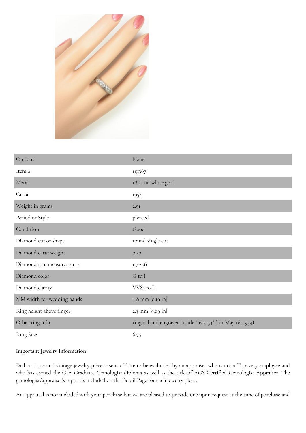

| Options                    | None                                                      |
|----------------------------|-----------------------------------------------------------|
| Item #                     | rg1367                                                    |
| Metal                      | 18 karat white gold                                       |
| Circa                      | 1954                                                      |
| Weight in grams            | 2.9I                                                      |
| Period or Style            | pierced                                                   |
| Condition                  | Good                                                      |
| Diamond cut or shape       | round single cut                                          |
| Diamond carat weight       | 0.20                                                      |
| Diamond mm measurements    | $1.7 - 1.8$                                               |
| Diamond color              | G to I                                                    |
| Diamond clarity            | VVSI to II                                                |
| MM width for wedding bands | 4.8 mm [0.19 in]                                          |
| Ring height above finger   | 2.3 mm [0.09 in]                                          |
| Other ring info            | ring is hand engraved inside "16-5-54" (for May 16, 1954) |
| <b>Ring Size</b>           | 6.75                                                      |

## **Important Jewelry Information**

Each antique and vintage jewelry piece is sent off site to be evaluated by an appraiser who is not a Topazery employee and who has earned the GIA Graduate Gemologist diploma as well as the title of AGS Certified Gemologist Appraiser. The gemologist/appraiser's report is included on the Detail Page for each jewelry piece.

An appraisal is not included with your purchase but we are pleased to provide one upon request at the time of purchase and